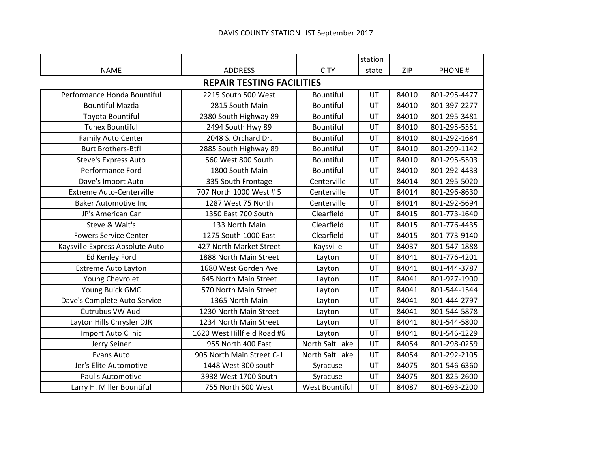|                                  |                             |                  | station |       |               |  |
|----------------------------------|-----------------------------|------------------|---------|-------|---------------|--|
| <b>NAME</b>                      | <b>ADDRESS</b>              | <b>CITY</b>      | state   | ZIP   | <b>PHONE#</b> |  |
| <b>REPAIR TESTING FACILITIES</b> |                             |                  |         |       |               |  |
| Performance Honda Bountiful      | 2215 South 500 West         | <b>Bountiful</b> | UT      | 84010 | 801-295-4477  |  |
| <b>Bountiful Mazda</b>           | 2815 South Main             | <b>Bountiful</b> | UT      | 84010 | 801-397-2277  |  |
| Toyota Bountiful                 | 2380 South Highway 89       | <b>Bountiful</b> | UT      | 84010 | 801-295-3481  |  |
| <b>Tunex Bountiful</b>           | 2494 South Hwy 89           | Bountiful        | UT      | 84010 | 801-295-5551  |  |
| Family Auto Center               | 2048 S. Orchard Dr.         | <b>Bountiful</b> | UT      | 84010 | 801-292-1684  |  |
| <b>Burt Brothers-Btfl</b>        | 2885 South Highway 89       | Bountiful        | UT      | 84010 | 801-299-1142  |  |
| Steve's Express Auto             | 560 West 800 South          | Bountiful        | UT      | 84010 | 801-295-5503  |  |
| Performance Ford                 | 1800 South Main             | <b>Bountiful</b> | UT      | 84010 | 801-292-4433  |  |
| Dave's Import Auto               | 335 South Frontage          | Centerville      | UT      | 84014 | 801-295-5020  |  |
| <b>Extreme Auto-Centerville</b>  | 707 North 1000 West # 5     | Centerville      | UT      | 84014 | 801-296-8630  |  |
| <b>Baker Automotive Inc</b>      | 1287 West 75 North          | Centerville      | UT      | 84014 | 801-292-5694  |  |
| JP's American Car                | 1350 East 700 South         | Clearfield       | UT      | 84015 | 801-773-1640  |  |
| Steve & Walt's                   | 133 North Main              | Clearfield       | UT      | 84015 | 801-776-4435  |  |
| <b>Fowers Service Center</b>     | 1275 South 1000 East        | Clearfield       | UT      | 84015 | 801-773-9140  |  |
| Kaysville Express Absolute Auto  | 427 North Market Street     | Kaysville        | UT      | 84037 | 801-547-1888  |  |
| Ed Kenley Ford                   | 1888 North Main Street      | Layton           | UT      | 84041 | 801-776-4201  |  |
| Extreme Auto Layton              | 1680 West Gorden Ave        | Layton           | UT      | 84041 | 801-444-3787  |  |
| Young Chevrolet                  | 645 North Main Street       | Layton           | UT      | 84041 | 801-927-1900  |  |
| Young Buick GMC                  | 570 North Main Street       | Layton           | UT      | 84041 | 801-544-1544  |  |
| Dave's Complete Auto Service     | 1365 North Main             | Layton           | UT      | 84041 | 801-444-2797  |  |
| Cutrubus VW Audi                 | 1230 North Main Street      | Layton           | UT      | 84041 | 801-544-5878  |  |
| Layton Hills Chrysler DJR        | 1234 North Main Street      | Layton           | UT      | 84041 | 801-544-5800  |  |
| Import Auto Clinic               | 1620 West Hillfield Road #6 | Layton           | UT      | 84041 | 801-546-1229  |  |
| Jerry Seiner                     | 955 North 400 East          | North Salt Lake  | UT      | 84054 | 801-298-0259  |  |
| Evans Auto                       | 905 North Main Street C-1   | North Salt Lake  | UT      | 84054 | 801-292-2105  |  |
| Jer's Elite Automotive           | 1448 West 300 south         | Syracuse         | UT      | 84075 | 801-546-6360  |  |
| Paul's Automotive                | 3938 West 1700 South        | Syracuse         | UT      | 84075 | 801-825-2600  |  |
| Larry H. Miller Bountiful        | 755 North 500 West          | West Bountiful   | UT      | 84087 | 801-693-2200  |  |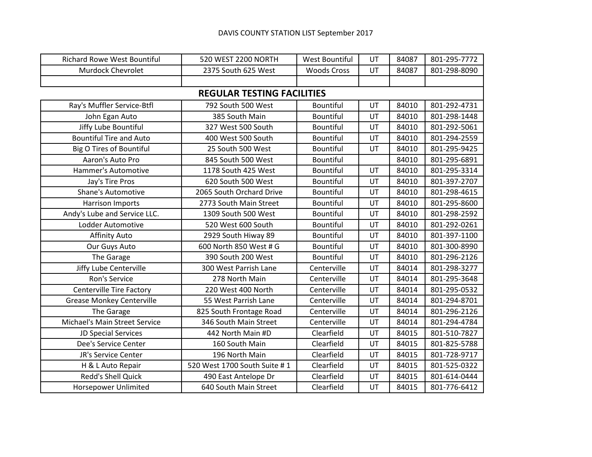## DAVIS COUNTY STATION LIST September 2017

| <b>Richard Rowe West Bountiful</b> | 520 WEST 2200 NORTH               | West Bountiful     | UT | 84087 | 801-295-7772 |
|------------------------------------|-----------------------------------|--------------------|----|-------|--------------|
| Murdock Chevrolet                  | 2375 South 625 West               | <b>Woods Cross</b> | UT | 84087 | 801-298-8090 |
|                                    |                                   |                    |    |       |              |
|                                    | <b>REGULAR TESTING FACILITIES</b> |                    |    |       |              |
| Ray's Muffler Service-Btfl         | 792 South 500 West                | <b>Bountiful</b>   | UT | 84010 | 801-292-4731 |
| John Egan Auto                     | 385 South Main                    | <b>Bountiful</b>   | UT | 84010 | 801-298-1448 |
| Jiffy Lube Bountiful               | 327 West 500 South                | <b>Bountiful</b>   | UT | 84010 | 801-292-5061 |
| <b>Bountiful Tire and Auto</b>     | 400 West 500 South                | <b>Bountiful</b>   | UT | 84010 | 801-294-2559 |
| <b>Big O Tires of Bountiful</b>    | 25 South 500 West                 | <b>Bountiful</b>   | UT | 84010 | 801-295-9425 |
| Aaron's Auto Pro                   | 845 South 500 West                | Bountiful          |    | 84010 | 801-295-6891 |
| Hammer's Automotive                | 1178 South 425 West               | Bountiful          | UT | 84010 | 801-295-3314 |
| Jay's Tire Pros                    | 620 South 500 West                | <b>Bountiful</b>   | UT | 84010 | 801-397-2707 |
| Shane's Automotive                 | 2065 South Orchard Drive          | Bountiful          | UT | 84010 | 801-298-4615 |
| Harrison Imports                   | 2773 South Main Street            | <b>Bountiful</b>   | UT | 84010 | 801-295-8600 |
| Andy's Lube and Service LLC.       | 1309 South 500 West               | Bountiful          | UT | 84010 | 801-298-2592 |
| Lodder Automotive                  | 520 West 600 South                | Bountiful          | UT | 84010 | 801-292-0261 |
| <b>Affinity Auto</b>               | 2929 South Hiway 89               | <b>Bountiful</b>   | UT | 84010 | 801-397-1100 |
| Our Guys Auto                      | 600 North 850 West # G            | <b>Bountiful</b>   | UT | 84010 | 801-300-8990 |
| The Garage                         | 390 South 200 West                | <b>Bountiful</b>   | UT | 84010 | 801-296-2126 |
| Jiffy Lube Centerville             | 300 West Parrish Lane             | Centerville        | UT | 84014 | 801-298-3277 |
| Ron's Service                      | 278 North Main                    | Centerville        | UT | 84014 | 801-295-3648 |
| <b>Centerville Tire Factory</b>    | 220 West 400 North                | Centerville        | UT | 84014 | 801-295-0532 |
| <b>Grease Monkey Centerville</b>   | 55 West Parrish Lane              | Centerville        | UT | 84014 | 801-294-8701 |
| The Garage                         | 825 South Frontage Road           | Centerville        | UT | 84014 | 801-296-2126 |
| Michael's Main Street Service      | 346 South Main Street             | Centerville        | UT | 84014 | 801-294-4784 |
| JD Special Services                | 442 North Main #D                 | Clearfield         | UT | 84015 | 801-510-7827 |
| Dee's Service Center               | 160 South Main                    | Clearfield         | UT | 84015 | 801-825-5788 |
| JR's Service Center                | 196 North Main                    | Clearfield         | UT | 84015 | 801-728-9717 |
| H & L Auto Repair                  | 520 West 1700 South Suite # 1     | Clearfield         | UT | 84015 | 801-525-0322 |
| <b>Redd's Shell Quick</b>          | 490 East Antelope Dr              | Clearfield         | UT | 84015 | 801-614-0444 |
| Horsepower Unlimited               | 640 South Main Street             | Clearfield         | UT | 84015 | 801-776-6412 |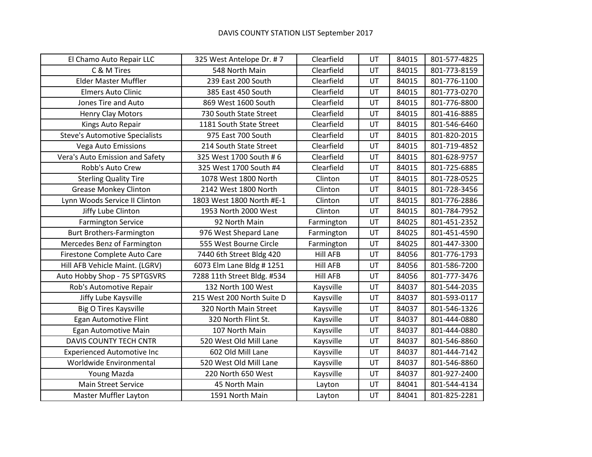| El Chamo Auto Repair LLC              | 325 West Antelope Dr. #7    | Clearfield      | UT | 84015 | 801-577-4825 |
|---------------------------------------|-----------------------------|-----------------|----|-------|--------------|
| C & M Tires                           | 548 North Main              | Clearfield      | UT | 84015 | 801-773-8159 |
| <b>Elder Master Muffler</b>           | 239 East 200 South          | Clearfield      | UT | 84015 | 801-776-1100 |
| <b>Elmers Auto Clinic</b>             | 385 East 450 South          | Clearfield      | UT | 84015 | 801-773-0270 |
| Jones Tire and Auto                   | 869 West 1600 South         | Clearfield      | UT | 84015 | 801-776-8800 |
| <b>Henry Clay Motors</b>              | 730 South State Street      | Clearfield      | UT | 84015 | 801-416-8885 |
| Kings Auto Repair                     | 1181 South State Street     | Clearfield      | UT | 84015 | 801-546-6460 |
| <b>Steve's Automotive Specialists</b> | 975 East 700 South          | Clearfield      | UT | 84015 | 801-820-2015 |
| Vega Auto Emissions                   | 214 South State Street      | Clearfield      | UT | 84015 | 801-719-4852 |
| Vera's Auto Emission and Safety       | 325 West 1700 South # 6     | Clearfield      | UT | 84015 | 801-628-9757 |
| Robb's Auto Crew                      | 325 West 1700 South #4      | Clearfield      | UT | 84015 | 801-725-6885 |
| <b>Sterling Quality Tire</b>          | 1078 West 1800 North        | Clinton         | UT | 84015 | 801-728-0525 |
| <b>Grease Monkey Clinton</b>          | 2142 West 1800 North        | Clinton         | UT | 84015 | 801-728-3456 |
| Lynn Woods Service II Clinton         | 1803 West 1800 North #E-1   | Clinton         | UT | 84015 | 801-776-2886 |
| Jiffy Lube Clinton                    | 1953 North 2000 West        | Clinton         | UT | 84015 | 801-784-7952 |
| <b>Farmington Service</b>             | 92 North Main               | Farmington      | UT | 84025 | 801-451-2352 |
| Burt Brothers-Farmington              | 976 West Shepard Lane       | Farmington      | UT | 84025 | 801-451-4590 |
| Mercedes Benz of Farmington           | 555 West Bourne Circle      | Farmington      | UT | 84025 | 801-447-3300 |
| Firestone Complete Auto Care          | 7440 6th Street Bldg 420    | <b>Hill AFB</b> | UT | 84056 | 801-776-1793 |
| Hill AFB Vehicle Maint. (LGRV)        | 6073 Elm Lane Bldg # 1251   | <b>Hill AFB</b> | UT | 84056 | 801-586-7200 |
| Auto Hobby Shop - 75 SPTGSVRS         | 7288 11th Street Bldg. #534 | <b>Hill AFB</b> | UT | 84056 | 801-777-3476 |
| Rob's Automotive Repair               | 132 North 100 West          | Kaysville       | UT | 84037 | 801-544-2035 |
| Jiffy Lube Kaysville                  | 215 West 200 North Suite D  | Kaysville       | UT | 84037 | 801-593-0117 |
| Big O Tires Kaysville                 | 320 North Main Street       | Kaysville       | UT | 84037 | 801-546-1326 |
| Egan Automotive Flint                 | 320 North Flint St.         | Kaysville       | UT | 84037 | 801-444-0880 |
| Egan Automotive Main                  | 107 North Main              | Kaysville       | UT | 84037 | 801-444-0880 |
| DAVIS COUNTY TECH CNTR                | 520 West Old Mill Lane      | Kaysville       | UT | 84037 | 801-546-8860 |
| <b>Experienced Automotive Inc</b>     | 602 Old Mill Lane           | Kaysville       | UT | 84037 | 801-444-7142 |
| Worldwide Environmental               | 520 West Old Mill Lane      | Kaysville       | UT | 84037 | 801-546-8860 |
| Young Mazda                           | 220 North 650 West          | Kaysville       | UT | 84037 | 801-927-2400 |
| <b>Main Street Service</b>            | 45 North Main               | Layton          | UT | 84041 | 801-544-4134 |
| <b>Master Muffler Layton</b>          | 1591 North Main             | Layton          | UT | 84041 | 801-825-2281 |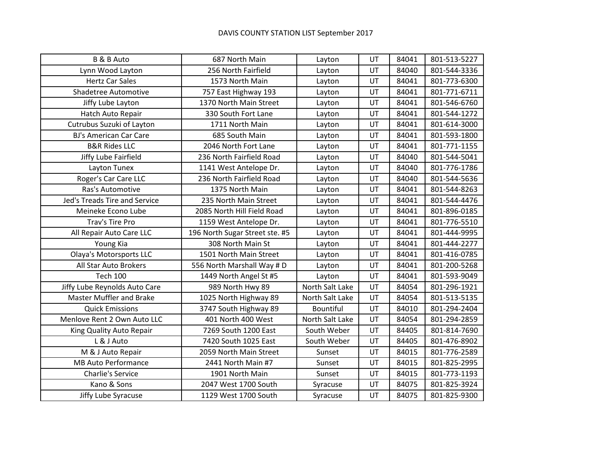| <b>B &amp; B Auto</b>           | 687 North Main                 | Layton          | UT | 84041 | 801-513-5227 |
|---------------------------------|--------------------------------|-----------------|----|-------|--------------|
| Lynn Wood Layton                | 256 North Fairfield            | Layton          | UT | 84040 | 801-544-3336 |
| <b>Hertz Car Sales</b>          | 1573 North Main                | Layton          | UT | 84041 | 801-773-6300 |
| Shadetree Automotive            | 757 East Highway 193           | Layton          | UT | 84041 | 801-771-6711 |
| Jiffy Lube Layton               | 1370 North Main Street         | Layton          | UT | 84041 | 801-546-6760 |
| Hatch Auto Repair               | 330 South Fort Lane            | Layton          | UT | 84041 | 801-544-1272 |
| Cutrubus Suzuki of Layton       | 1711 North Main                | Layton          | UT | 84041 | 801-614-3000 |
| <b>BJ's American Car Care</b>   | 685 South Main                 | Layton          | UT | 84041 | 801-593-1800 |
| <b>B&amp;R Rides LLC</b>        | 2046 North Fort Lane           | Layton          | UT | 84041 | 801-771-1155 |
| Jiffy Lube Fairfield            | 236 North Fairfield Road       | Layton          | UT | 84040 | 801-544-5041 |
| Layton Tunex                    | 1141 West Antelope Dr.         | Layton          | UT | 84040 | 801-776-1786 |
| Roger's Car Care LLC            | 236 North Fairfield Road       | Layton          | UT | 84040 | 801-544-5636 |
| Ras's Automotive                | 1375 North Main                | Layton          | UT | 84041 | 801-544-8263 |
| Jed's Treads Tire and Service   | 235 North Main Street          | Layton          | UT | 84041 | 801-544-4476 |
| Meineke Econo Lube              | 2085 North Hill Field Road     | Layton          | UT | 84041 | 801-896-0185 |
| Trav's Tire Pro                 | 1159 West Antelope Dr.         | Layton          | UT | 84041 | 801-776-5510 |
| All Repair Auto Care LLC        | 196 North Sugar Street ste. #5 | Layton          | UT | 84041 | 801-444-9995 |
| Young Kia                       | 308 North Main St              | Layton          | UT | 84041 | 801-444-2277 |
| <b>Olaya's Motorsports LLC</b>  | 1501 North Main Street         | Layton          | UT | 84041 | 801-416-0785 |
| All Star Auto Brokers           | 556 North Marshall Way # D     | Layton          | UT | 84041 | 801-200-5268 |
| <b>Tech 100</b>                 | 1449 North Angel St #5         | Layton          | UT | 84041 | 801-593-9049 |
| Jiffy Lube Reynolds Auto Care   | 989 North Hwy 89               | North Salt Lake | UT | 84054 | 801-296-1921 |
| <b>Master Muffler and Brake</b> | 1025 North Highway 89          | North Salt Lake | UT | 84054 | 801-513-5135 |
| <b>Quick Emissions</b>          | 3747 South Highway 89          | Bountiful       | UT | 84010 | 801-294-2404 |
| Menlove Rent 2 Own Auto LLC     | 401 North 400 West             | North Salt Lake | UT | 84054 | 801-294-2859 |
| King Quality Auto Repair        | 7269 South 1200 East           | South Weber     | UT | 84405 | 801-814-7690 |
| L & J Auto                      | 7420 South 1025 East           | South Weber     | UT | 84405 | 801-476-8902 |
| M & J Auto Repair               | 2059 North Main Street         | Sunset          | UT | 84015 | 801-776-2589 |
| <b>MB Auto Performance</b>      | 2441 North Main #7             | Sunset          | UT | 84015 | 801-825-2995 |
| <b>Charlie's Service</b>        | 1901 North Main                | Sunset          | UT | 84015 | 801-773-1193 |
| Kano & Sons                     | 2047 West 1700 South           | Syracuse        | UT | 84075 | 801-825-3924 |
| Jiffy Lube Syracuse             | 1129 West 1700 South           | Syracuse        | UT | 84075 | 801-825-9300 |